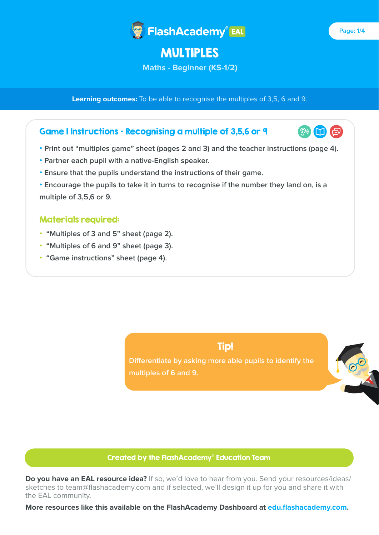

# MULTIPLES

**Maths - Beginner (KS-1/2)**

**Learning outcomes:** To be able to recognise the multiples of 3,5, 6 and 9.

## Game 1 Instructions - Recognising a multiple of 3,5,6 or 9

- **Print out "multiples game" sheet (pages 2 and 3) and the teacher instructions (page 4).**
- **Partner each pupil with a native-English speaker.**
- **Ensure that the pupils understand the instructions of their game.**
- **Encourage the pupils to take it in turns to recognise if the number they land on, is a multiple of 3,5,6 or 9.**

### Materials required:

- **"Multiples of 3 and 5" sheet (page 2).**
- **"Multiples of 6 and 9" sheet (page 3).**
- **"Game instructions" sheet (page 4).**



**Differentiate by asking more able pupils to identify the multiples of 6 and 9.**



#### Created by the FlashAcademy® Education Team

**Do you have an EAL resource idea?** If so, we'd love to hear from you. Send your resources/ideas/ sketches to team@flashacademy.com and if selected, we'll design it up for you and share it with the EAL community.

**More resources like this available on the FlashAcademy Dashboard at edu.flashacademy.com.**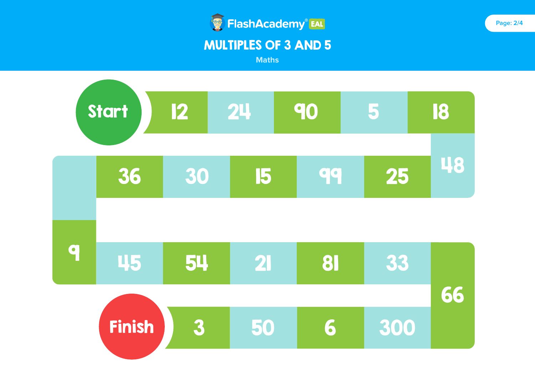

**Maths**

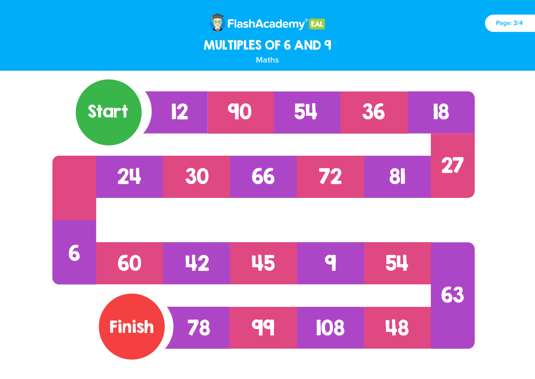

**Maths**